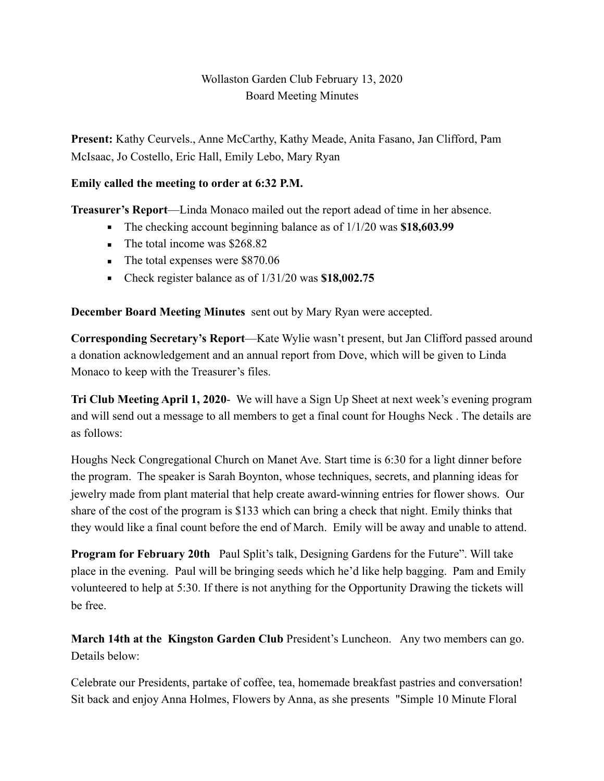# Wollaston Garden Club February 13, 2020 Board Meeting Minutes

**Present:** Kathy Ceurvels., Anne McCarthy, Kathy Meade, Anita Fasano, Jan Clifford, Pam McIsaac, Jo Costello, Eric Hall, Emily Lebo, Mary Ryan

### **Emily called the meeting to order at 6:32 P.M.**

**Treasurer's Report**—Linda Monaco mailed out the report adead of time in her absence.

- The checking account beginning balance as of  $1/1/20$  was \$18,603.99
- $\blacksquare$  The total income was \$268.82
- The total expenses were \$870.06
- Check register balance as of 1/31/20 was **\$18,002.75**

**December Board Meeting Minutes** sent out by Mary Ryan were accepted.

**Corresponding Secretary's Report**—Kate Wylie wasn't present, but Jan Clifford passed around a donation acknowledgement and an annual report from Dove, which will be given to Linda Monaco to keep with the Treasurer's files.

**Tri Club Meeting April 1, 2020**- We will have a Sign Up Sheet at next week's evening program and will send out a message to all members to get a final count for Houghs Neck . The details are as follows:

Houghs Neck Congregational Church on Manet Ave. Start time is 6:30 for a light dinner before the program. The speaker is Sarah Boynton, whose techniques, secrets, and planning ideas for jewelry made from plant material that help create award-winning entries for flower shows. Our share of the cost of the program is \$133 which can bring a check that night. Emily thinks that they would like a final count before the end of March. Emily will be away and unable to attend.

**Program for February 20th** Paul Split's talk, Designing Gardens for the Future". Will take place in the evening. Paul will be bringing seeds which he'd like help bagging. Pam and Emily volunteered to help at 5:30. If there is not anything for the Opportunity Drawing the tickets will be free.

**March 14th at the Kingston Garden Club** President's Luncheon. Any two members can go. Details below:

Celebrate our Presidents, partake of coffee, tea, homemade breakfast pastries and conversation! Sit back and enjoy Anna Holmes, Flowers by Anna, as she presents "Simple 10 Minute Floral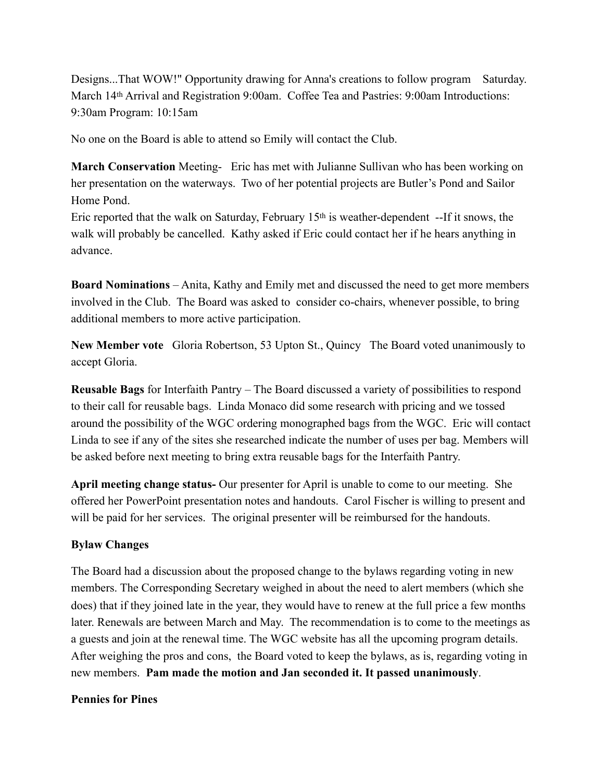Designs...That WOW!" Opportunity drawing for Anna's creations to follow program Saturday. March 14th Arrival and Registration 9:00am. Coffee Tea and Pastries: 9:00am Introductions: 9:30am Program: 10:15am

No one on the Board is able to attend so Emily will contact the Club.

**March Conservation** Meeting- Eric has met with Julianne Sullivan who has been working on her presentation on the waterways. Two of her potential projects are Butler's Pond and Sailor Home Pond.

Eric reported that the walk on Saturday, February 15<sup>th</sup> is weather-dependent --If it snows, the walk will probably be cancelled. Kathy asked if Eric could contact her if he hears anything in advance.

**Board Nominations** – Anita, Kathy and Emily met and discussed the need to get more members involved in the Club. The Board was asked to consider co-chairs, whenever possible, to bring additional members to more active participation.

**New Member vote** Gloria Robertson, 53 Upton St., Quincy The Board voted unanimously to accept Gloria.

**Reusable Bags** for Interfaith Pantry – The Board discussed a variety of possibilities to respond to their call for reusable bags. Linda Monaco did some research with pricing and we tossed around the possibility of the WGC ordering monographed bags from the WGC. Eric will contact Linda to see if any of the sites she researched indicate the number of uses per bag. Members will be asked before next meeting to bring extra reusable bags for the Interfaith Pantry.

**April meeting change status-** Our presenter for April is unable to come to our meeting. She offered her PowerPoint presentation notes and handouts. Carol Fischer is willing to present and will be paid for her services. The original presenter will be reimbursed for the handouts.

#### **Bylaw Changes**

The Board had a discussion about the proposed change to the bylaws regarding voting in new members. The Corresponding Secretary weighed in about the need to alert members (which she does) that if they joined late in the year, they would have to renew at the full price a few months later. Renewals are between March and May. The recommendation is to come to the meetings as a guests and join at the renewal time. The WGC website has all the upcoming program details. After weighing the pros and cons, the Board voted to keep the bylaws, as is, regarding voting in new members. **Pam made the motion and Jan seconded it. It passed unanimously**.

#### **Pennies for Pines**